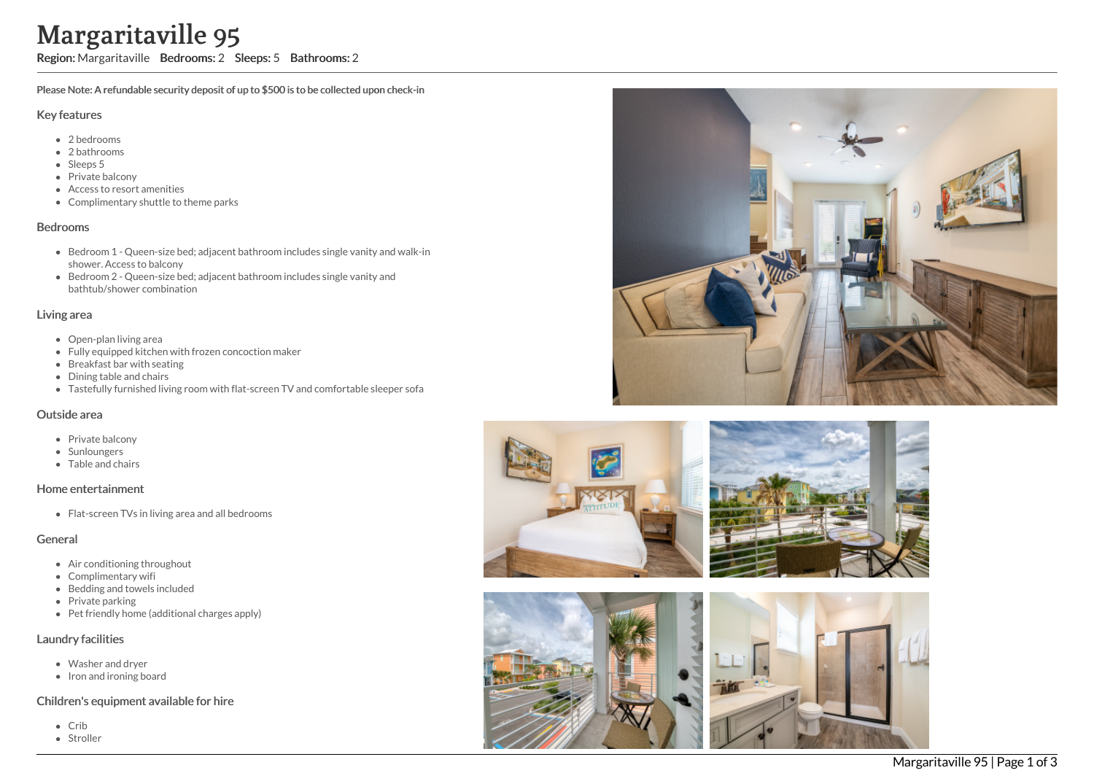# Margaritaville 95

Region: Margaritaville Bedrooms: 2 Sleeps: 5 Bathrooms: 2

Please Note: A refundable security deposit of up to \$500 is to be collected upon check-in

#### Key features

- 2 b e d r o o m s
- 2 bathrooms
- Sleeps 5
- Private balcony
- Access to resort amenities
- Complimentary shuttle to theme parks

#### **Bedrooms**

- Bedroom 1 Queen-size bed; adjacent bathroom includes single vanity and walk-in s h o w e r. A c c e s s t o b alc o n y
- Bedroom 2 Queen-size bed; adjacent bathroom includes single vanity and bathtub/shower combination

#### Living area

- Open-plan living area
- Fully equipped kitchen with frozen concoction maker
- Breakfast bar with seating
- Dining table and chairs
- Tastefully furnished living room with flat-screen TV and comfortable sleeper sofa

#### Outside area

- Private balcony
- **Sunloungers**
- T a ble a n d c h air s

## Home entertainment

Flat-screen TVs in living area and all bedrooms

## General

- Air conditioning throughout
- Complimentary wifi
- Bedding and towels in clu d e d
- Private parking
- Pet friendly home (additional charges apply)

## Laundry facilities

- Washer and dryer
- Iron and ironing board

## Children's equipment available for hire

- C rib
- Stroller





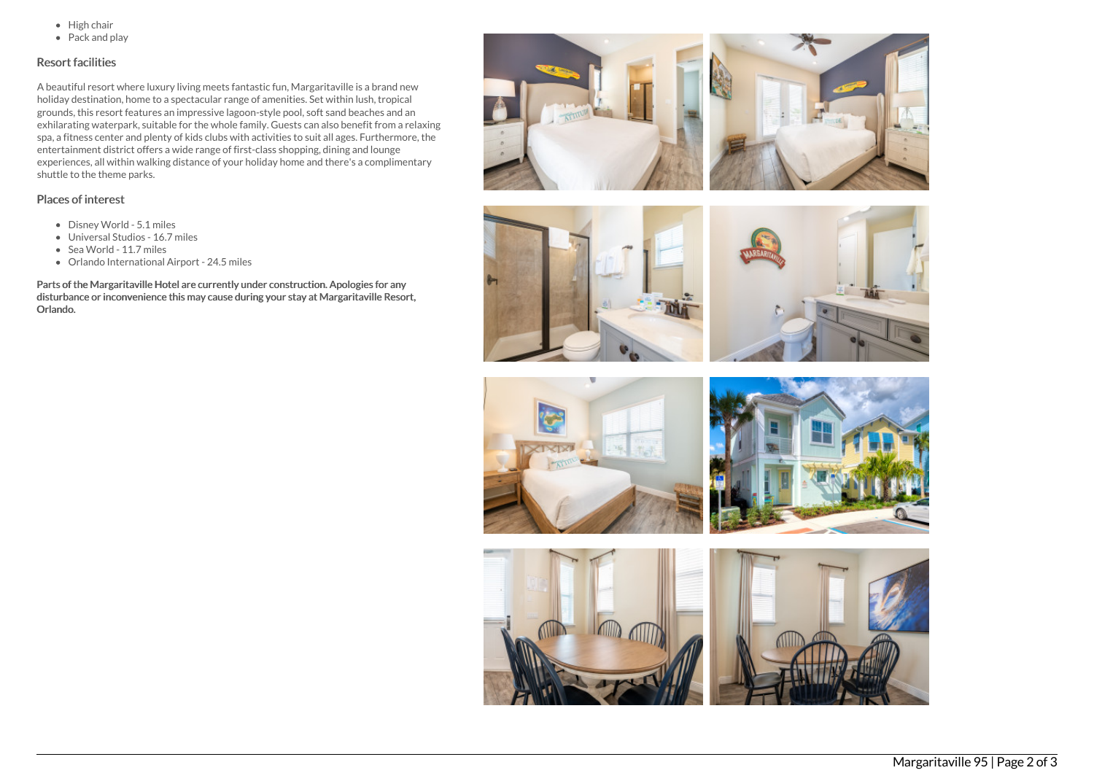- $\bullet$  High chair
- Pack and play

# Resort facilities

A beautiful resort where luxury living meets fantastic fun, Margaritaville is a brand new holiday destination, home to a spectacular range of amenities. Set within lush, tropical grounds, this resort features an impressive lagoon-style pool, soft sand beaches and an exhilarating waterpark, suitable for the whole family. Guests can also benefit from a relaxing spa, a fitness center and plenty of kids clubs with activities to suit all ages. Furthermore, the entertainment district offers a wide range of first-class shopping, dining and lounge experiences, all within walking distance of your holiday home and there's a complimentary shuttle to the theme parks.

# Places of interest

- Disney World 5.1 miles
- Universal Studios 16.7 miles
- Sea World 11.7 miles
- Orlando International Airport 24.5 miles

Parts of the Margaritaville Hotel are currently under construction. Apologies for any disturbance or inconvenience this may cause during your stay at Margaritaville Resort, Orlando.